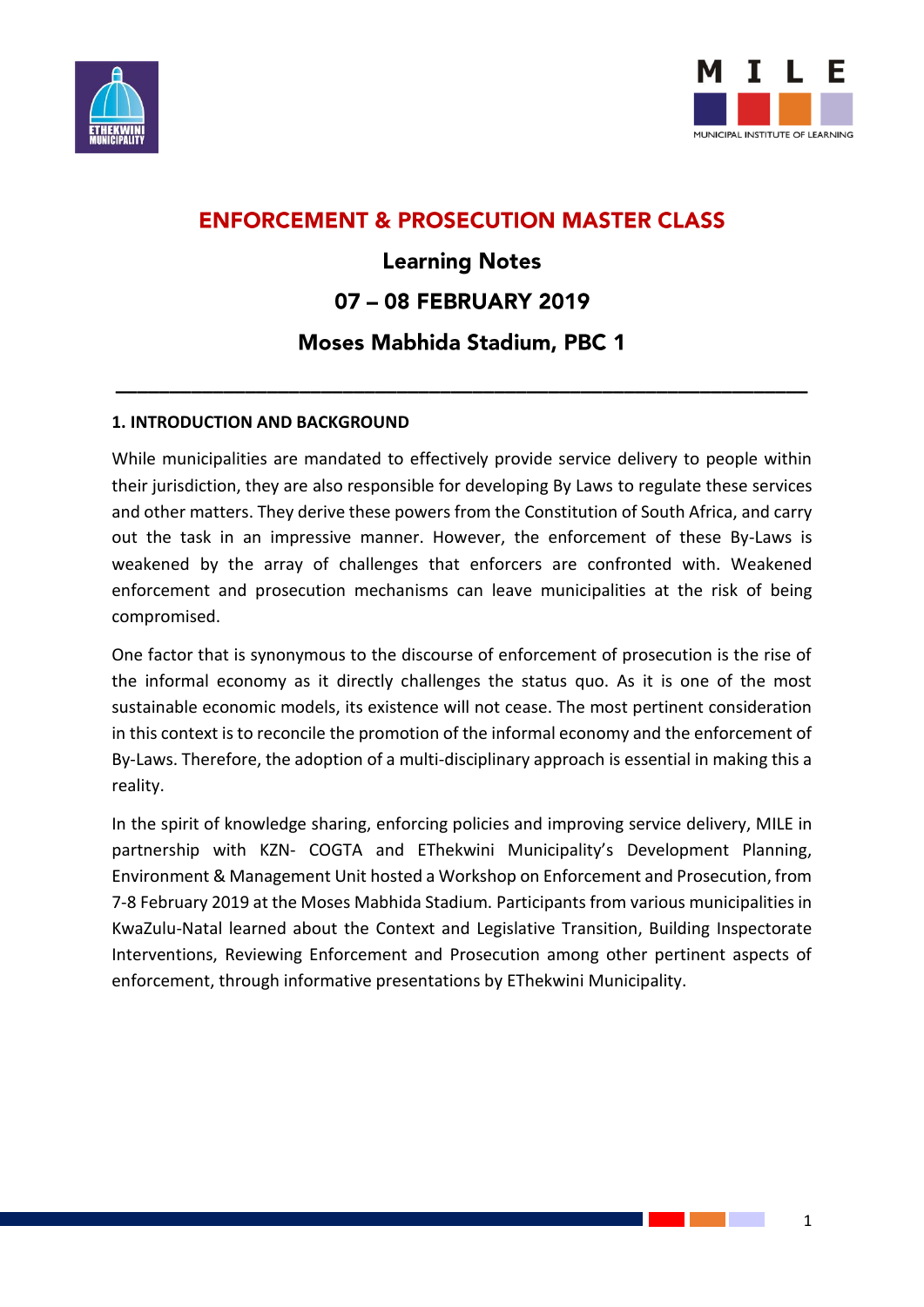



## **ENFORCEMENT & PROSECUTION MASTER CLASS**

## **Learning Notes** 07 - 08 FEBRUARY 2019 **Moses Mabhida Stadium, PBC 1**

**\_\_\_\_\_\_\_\_\_\_\_\_\_\_\_\_\_\_\_\_\_\_\_\_\_\_\_\_\_\_\_\_\_\_\_\_\_\_\_\_\_\_\_\_\_\_\_\_\_\_\_\_\_\_\_\_\_\_\_\_\_\_\_\_**

## **1. INTRODUCTION AND BACKGROUND**

While municipalities are mandated to effectively provide service delivery to people within their jurisdiction, they are also responsible for developing By Laws to regulate these services and other matters. They derive these powers from the Constitution of South Africa, and carry out the task in an impressive manner. However, the enforcement of these By-Laws is weakened by the array of challenges that enforcers are confronted with. Weakened enforcement and prosecution mechanisms can leave municipalities at the risk of being compromised.

One factor that is synonymous to the discourse of enforcement of prosecution is the rise of the informal economy as it directly challenges the status quo. As it is one of the most sustainable economic models, its existence will not cease. The most pertinent consideration in this context is to reconcile the promotion of the informal economy and the enforcement of By-Laws. Therefore, the adoption of a multi-disciplinary approach is essential in making this a reality.

In the spirit of knowledge sharing, enforcing policies and improving service delivery, MILE in partnership with KZN- COGTA and EThekwini Municipality's Development Planning, Environment & Management Unit hosted a Workshop on Enforcement and Prosecution, from 7-8 February 2019 at the Moses Mabhida Stadium. Participants from various municipalities in KwaZulu-Natal learned about the Context and Legislative Transition, Building Inspectorate Interventions, Reviewing Enforcement and Prosecution among other pertinent aspects of enforcement, through informative presentations by EThekwini Municipality.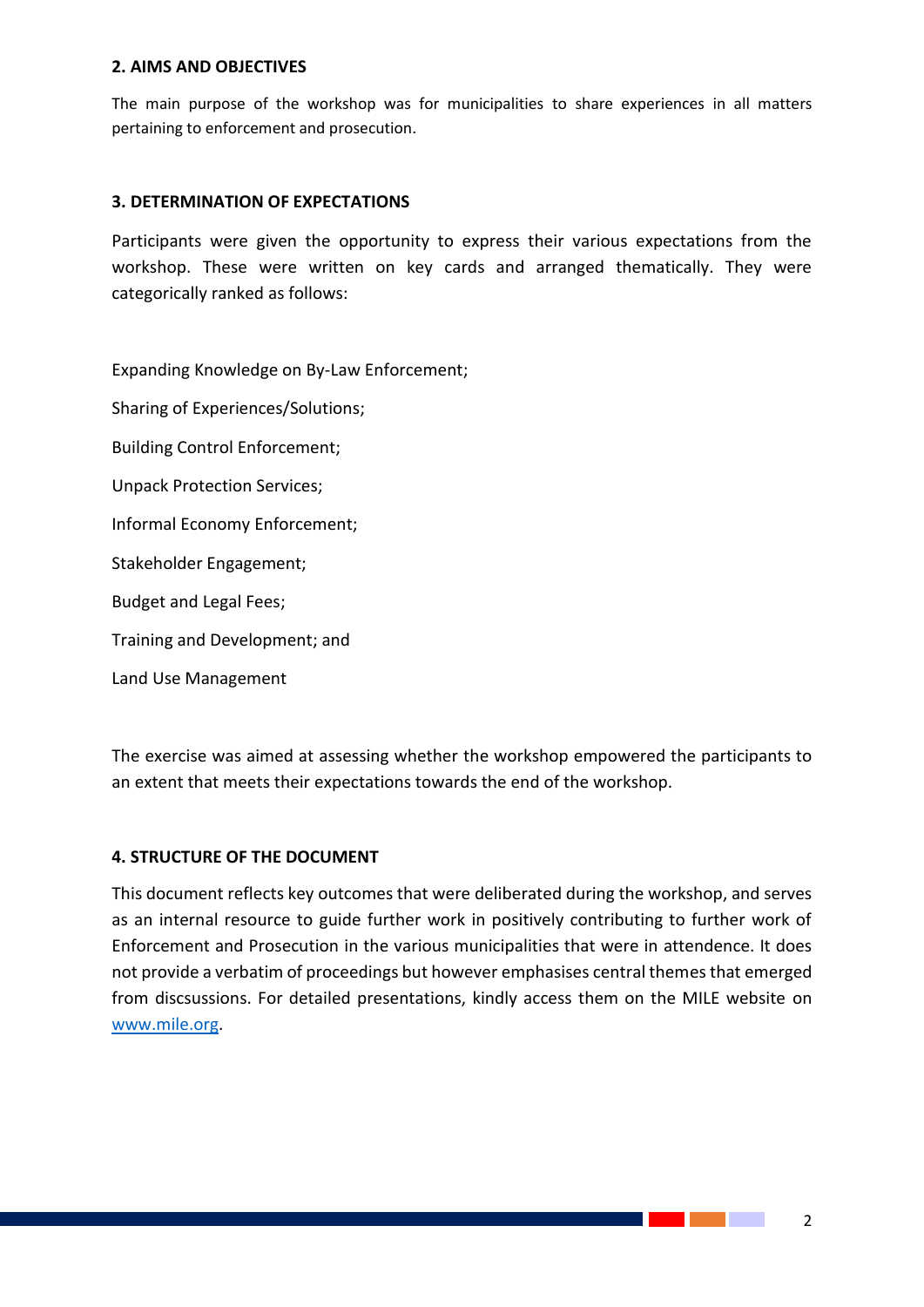#### **2. AIMS AND OBJECTIVES**

The main purpose of the workshop was for municipalities to share experiences in all matters pertaining to enforcement and prosecution.

## **3. DETERMINATION OF EXPECTATIONS**

Participants were given the opportunity to express their various expectations from the workshop. These were written on key cards and arranged thematically. They were categorically ranked as follows:

Expanding Knowledge on By-Law Enforcement; Sharing of Experiences/Solutions; Building Control Enforcement; Unpack Protection Services; Informal Economy Enforcement; Stakeholder Engagement; Budget and Legal Fees; Training and Development; and Land Use Management

The exercise was aimed at assessing whether the workshop empowered the participants to an extent that meets their expectations towards the end of the workshop.

## **4. STRUCTURE OF THE DOCUMENT**

This document reflects key outcomes that were deliberated during the workshop, and serves as an internal resource to guide further work in positively contributing to further work of Enforcement and Prosecution in the various municipalities that were in attendence. It does not provide a verbatim of proceedings but however emphasises central themes that emerged from discsussions. For detailed presentations, kindly access them on the MILE website on [www.mile.org.](http://www.mile.org/)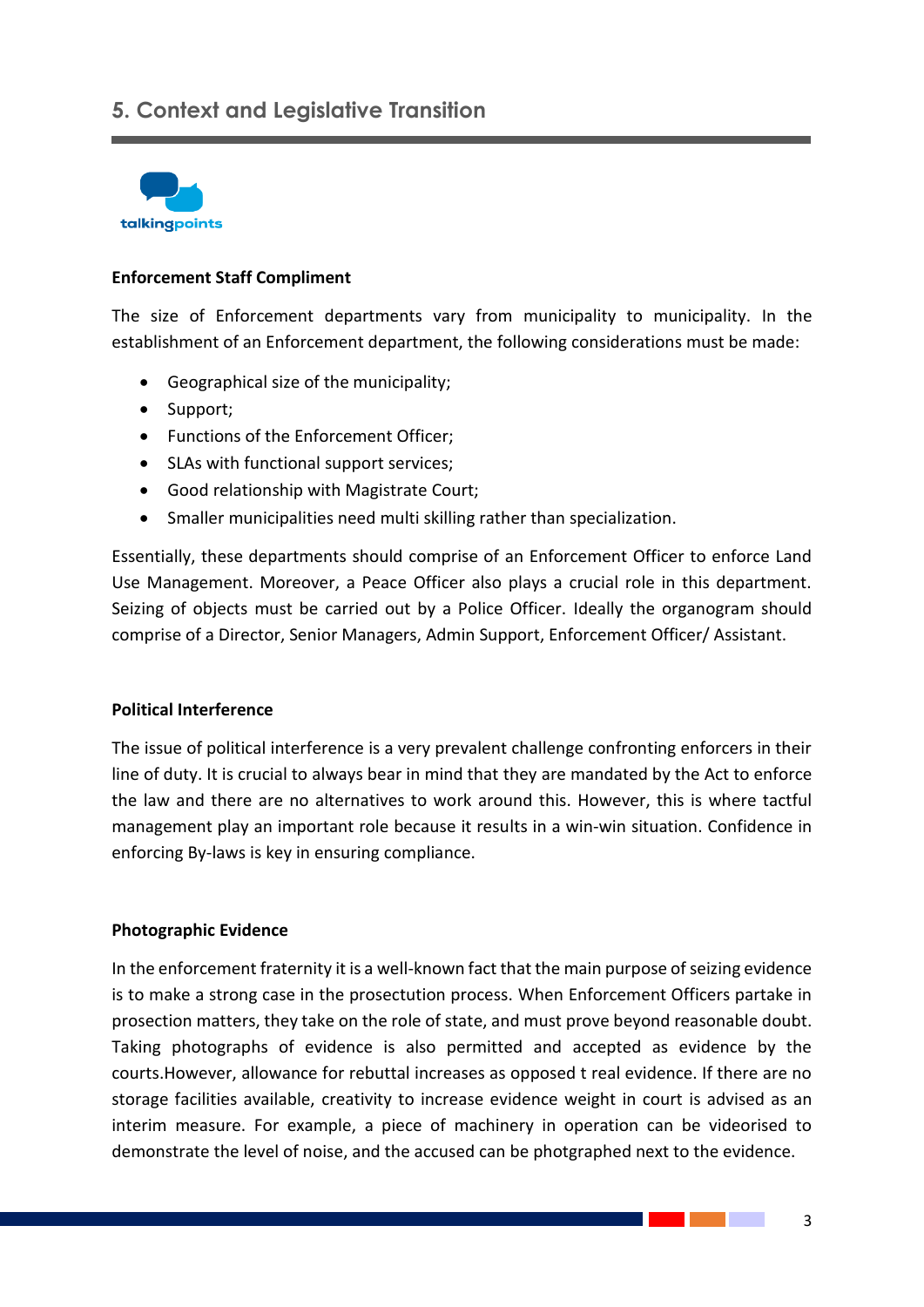## **5. Context and Legislative Transition**



## **Enforcement Staff Compliment**

The size of Enforcement departments vary from municipality to municipality. In the establishment of an Enforcement department, the following considerations must be made:

- Geographical size of the municipality;
- Support;
- Functions of the Enforcement Officer;
- SLAs with functional support services;
- Good relationship with Magistrate Court;
- Smaller municipalities need multi skilling rather than specialization.

Essentially, these departments should comprise of an Enforcement Officer to enforce Land Use Management. Moreover, a Peace Officer also plays a crucial role in this department. Seizing of objects must be carried out by a Police Officer. Ideally the organogram should comprise of a Director, Senior Managers, Admin Support, Enforcement Officer/ Assistant.

## **Political Interference**

The issue of political interference is a very prevalent challenge confronting enforcers in their line of duty. It is crucial to always bear in mind that they are mandated by the Act to enforce the law and there are no alternatives to work around this. However, this is where tactful management play an important role because it results in a win-win situation. Confidence in enforcing By-laws is key in ensuring compliance.

#### **Photographic Evidence**

In the enforcement fraternity it is a well-known fact that the main purpose of seizing evidence is to make a strong case in the prosectution process. When Enforcement Officers partake in prosection matters, they take on the role of state, and must prove beyond reasonable doubt. Taking photographs of evidence is also permitted and accepted as evidence by the courts.However, allowance for rebuttal increases as opposed t real evidence. If there are no storage facilities available, creativity to increase evidence weight in court is advised as an interim measure. For example, a piece of machinery in operation can be videorised to demonstrate the level of noise, and the accused can be photgraphed next to the evidence.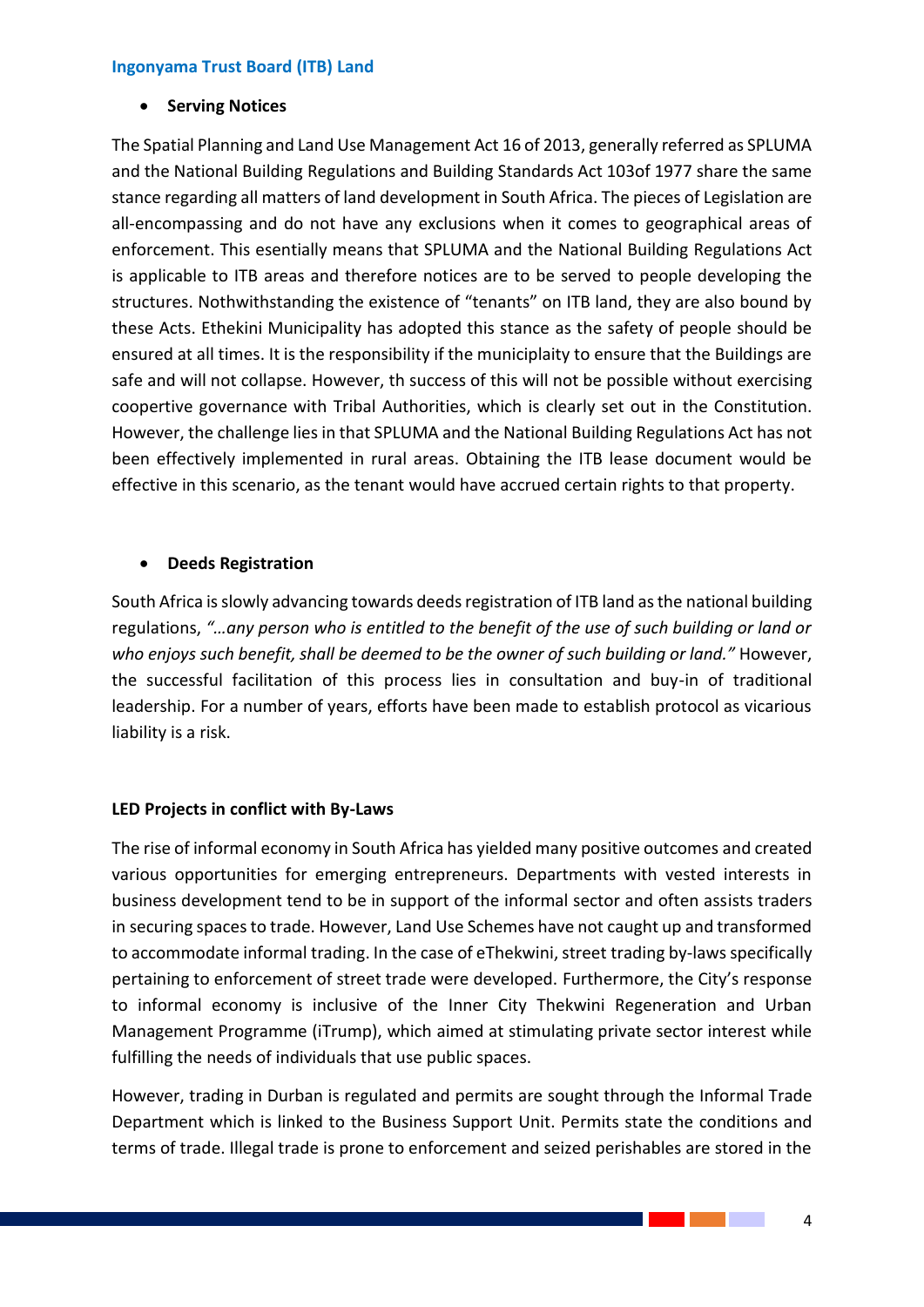## **Ingonyama Trust Board (ITB) Land**

**•** Serving Notices

The Spatial Planning and Land Use Management Act 16 of 2013, generally referred as SPLUMA and the National Building Regulations and Building Standards Act 103of 1977 share the same stance regarding all matters of land development in South Africa. The pieces of Legislation are all-encompassing and do not have any exclusions when it comes to geographical areas of enforcement. This esentially means that SPLUMA and the National Building Regulations Act is applicable to ITB areas and therefore notices are to be served to people developing the structures. Nothwithstanding the existence of "tenants" on ITB land, they are also bound by these Acts. Ethekini Municipality has adopted this stance as the safety of people should be ensured at all times. It is the responsibility if the municiplaity to ensure that the Buildings are safe and will not collapse. However, th success of this will not be possible without exercising coopertive governance with Tribal Authorities, which is clearly set out in the Constitution. However, the challenge lies in that SPLUMA and the National Building Regulations Act has not been effectively implemented in rural areas. Obtaining the ITB lease document would be effective in this scenario, as the tenant would have accrued certain rights to that property.

## **Deeds Registration**

South Africa is slowly advancing towards deeds registration of ITB land as the national building regulations, *"…any person who is entitled to the benefit of the use of such building or land or who enjoys such benefit, shall be deemed to be the owner of such building or land."* However, the successful facilitation of this process lies in consultation and buy-in of traditional leadership. For a number of years, efforts have been made to establish protocol as vicarious liability is a risk.

## **LED Projects in conflict with By-Laws**

The rise of informal economy in South Africa has yielded many positive outcomes and created various opportunities for emerging entrepreneurs. Departments with vested interests in business development tend to be in support of the informal sector and often assists traders in securing spaces to trade. However, Land Use Schemes have not caught up and transformed to accommodate informal trading. In the case of eThekwini, street trading by-laws specifically pertaining to enforcement of street trade were developed. Furthermore, the City's response to informal economy is inclusive of the Inner City Thekwini Regeneration and Urban Management Programme (iTrump), which aimed at stimulating private sector interest while fulfilling the needs of individuals that use public spaces.

However, trading in Durban is regulated and permits are sought through the Informal Trade Department which is linked to the Business Support Unit. Permits state the conditions and terms of trade. Illegal trade is prone to enforcement and seized perishables are stored in the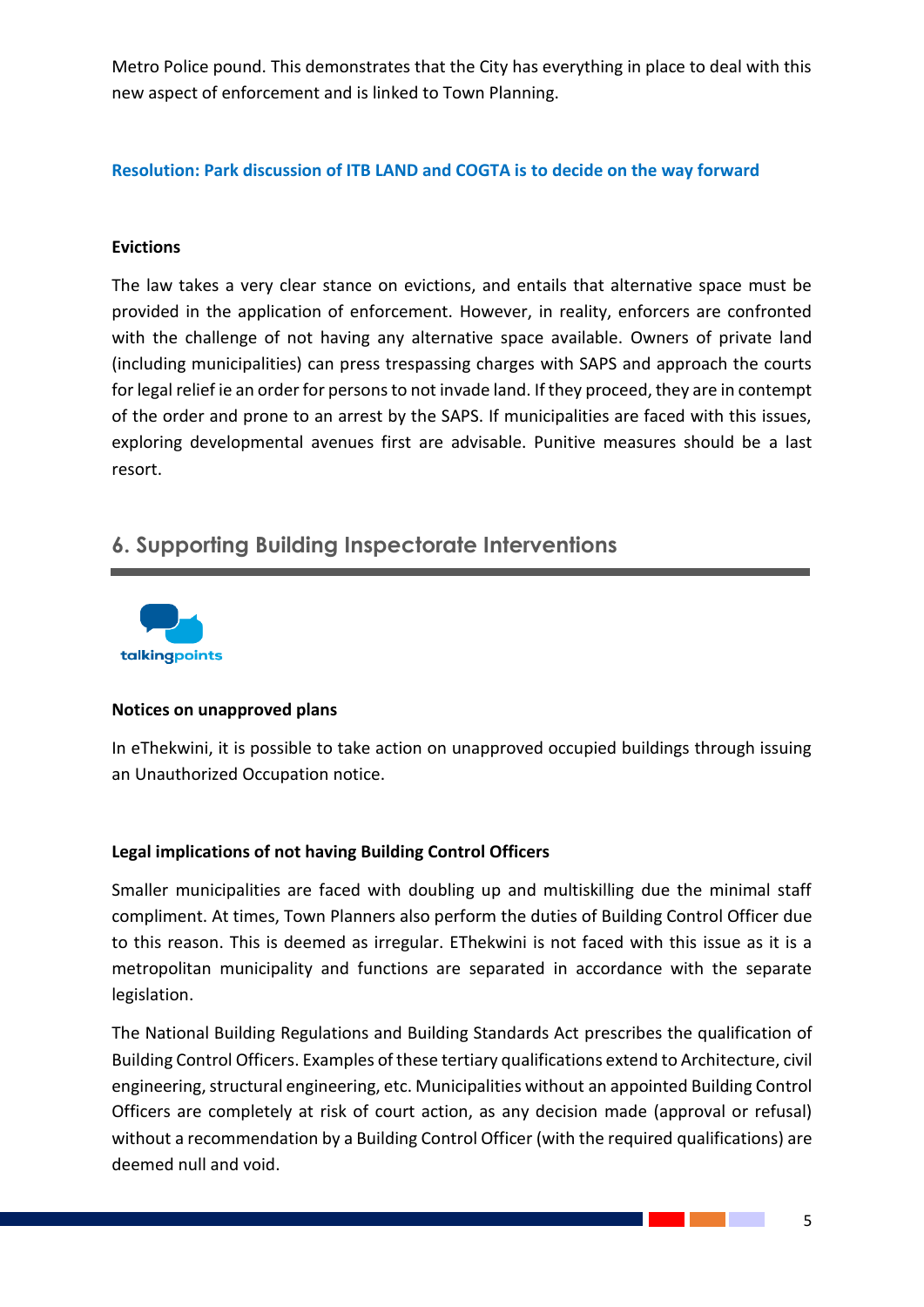Metro Police pound. This demonstrates that the City has everything in place to deal with this new aspect of enforcement and is linked to Town Planning.

## **Resolution: Park discussion of ITB LAND and COGTA is to decide on the way forward**

## **Evictions**

The law takes a very clear stance on evictions, and entails that alternative space must be provided in the application of enforcement. However, in reality, enforcers are confronted with the challenge of not having any alternative space available. Owners of private land (including municipalities) can press trespassing charges with SAPS and approach the courts for legal relief ie an order for persons to not invade land. If they proceed, they are in contempt of the order and prone to an arrest by the SAPS. If municipalities are faced with this issues, exploring developmental avenues first are advisable. Punitive measures should be a last resort.

## **6. Supporting Building Inspectorate Interventions**



## **Notices on unapproved plans**

In eThekwini, it is possible to take action on unapproved occupied buildings through issuing an Unauthorized Occupation notice.

## **Legal implications of not having Building Control Officers**

Smaller municipalities are faced with doubling up and multiskilling due the minimal staff compliment. At times, Town Planners also perform the duties of Building Control Officer due to this reason. This is deemed as irregular. EThekwini is not faced with this issue as it is a metropolitan municipality and functions are separated in accordance with the separate legislation.

The National Building Regulations and Building Standards Act prescribes the qualification of Building Control Officers. Examples of these tertiary qualifications extend to Architecture, civil engineering, structural engineering, etc. Municipalities without an appointed Building Control Officers are completely at risk of court action, as any decision made (approval or refusal) without a recommendation by a Building Control Officer (with the required qualifications) are deemed null and void.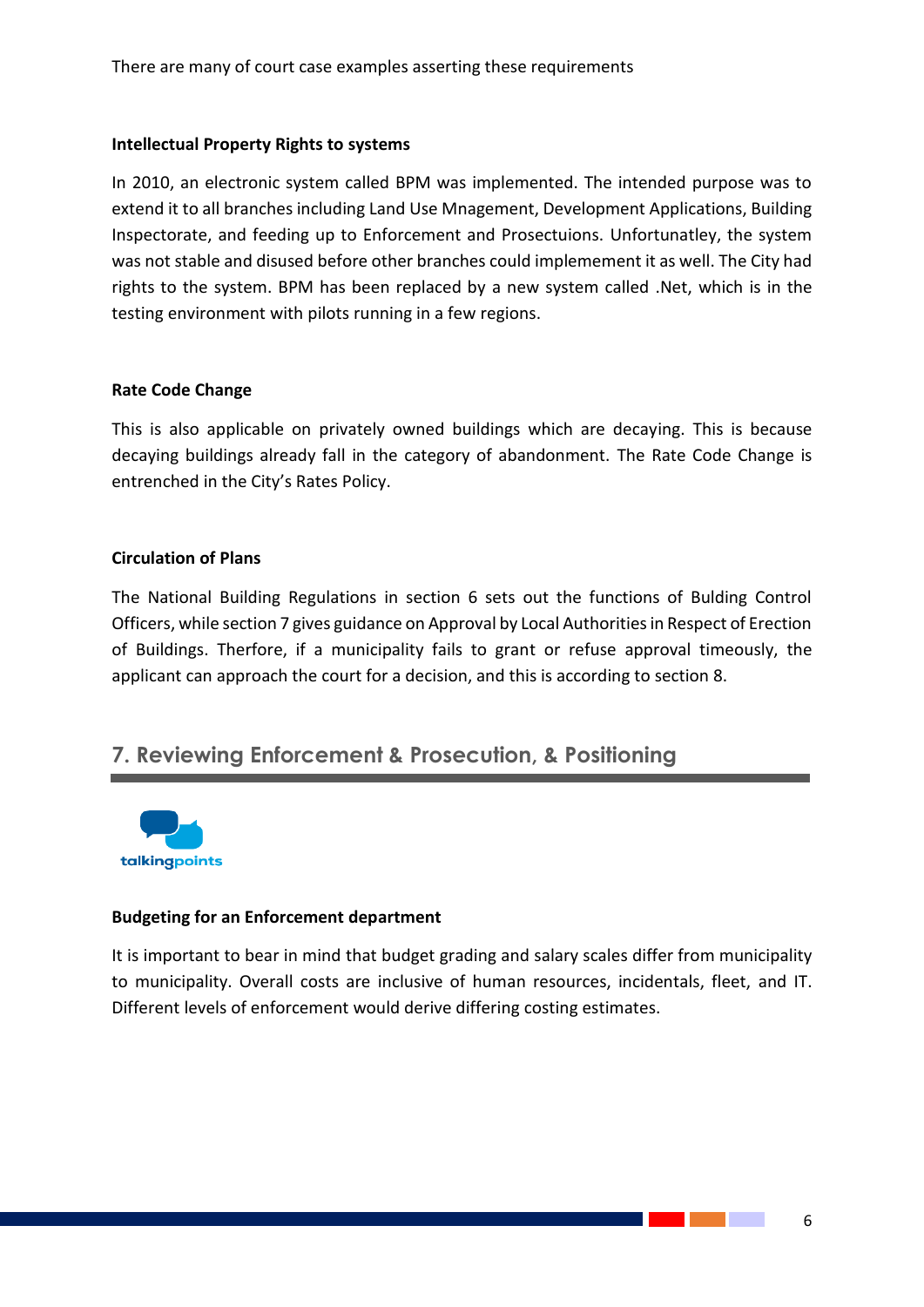## **Intellectual Property Rights to systems**

In 2010, an electronic system called BPM was implemented. The intended purpose was to extend it to all branches including Land Use Mnagement, Development Applications, Building Inspectorate, and feeding up to Enforcement and Prosectuions. Unfortunatley, the system was not stable and disused before other branches could implemement it as well. The City had rights to the system. BPM has been replaced by a new system called .Net, which is in the testing environment with pilots running in a few regions.

## **Rate Code Change**

This is also applicable on privately owned buildings which are decaying. This is because decaying buildings already fall in the category of abandonment. The Rate Code Change is entrenched in the City's Rates Policy.

## **Circulation of Plans**

The National Building Regulations in section 6 sets out the functions of Bulding Control Officers, while section 7 gives guidance on Approval by Local Authorities in Respect of Erection of Buildings. Therfore, if a municipality fails to grant or refuse approval timeously, the applicant can approach the court for a decision, and this is according to section 8.

## **7. Reviewing Enforcement & Prosecution, & Positioning**



## **Budgeting for an Enforcement department**

It is important to bear in mind that budget grading and salary scales differ from municipality to municipality. Overall costs are inclusive of human resources, incidentals, fleet, and IT. Different levels of enforcement would derive differing costing estimates.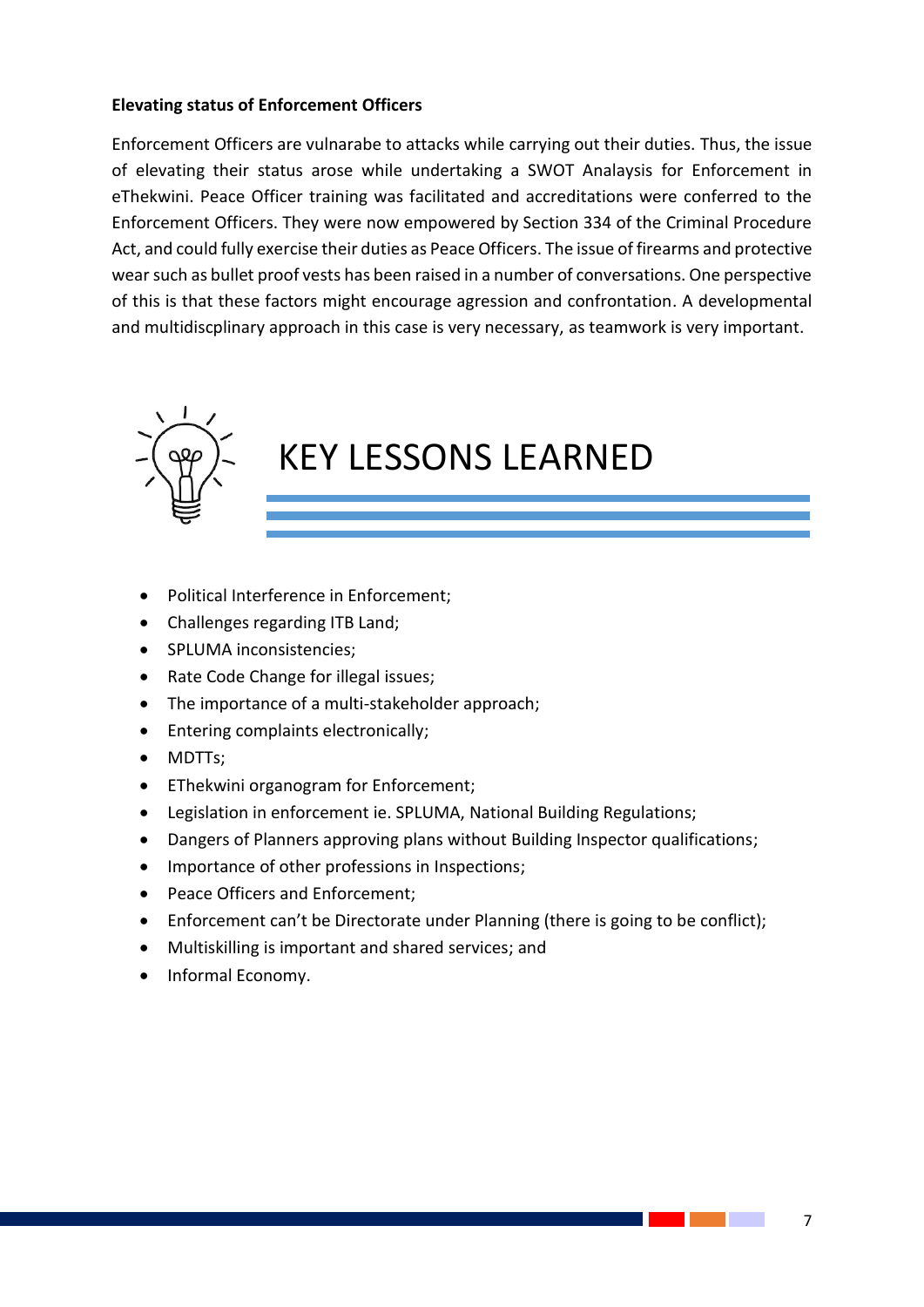## **Elevating status of Enforcement Officers**

Enforcement Officers are vulnarabe to attacks while carrying out their duties. Thus, the issue of elevating their status arose while undertaking a SWOT Analaysis for Enforcement in eThekwini. Peace Officer training was facilitated and accreditations were conferred to the Enforcement Officers. They were now empowered by Section 334 of the Criminal Procedure Act, and could fully exercise their duties as Peace Officers. The issue of firearms and protective wear such as bullet proof vests has been raised in a number of conversations. One perspective of this is that these factors might encourage agression and confrontation. A developmental and multidiscplinary approach in this case is very necessary, as teamwork is very important.



# KEY LESSONS LEARNED

 $\mathcal{G}_\mathcal{G}$  at terms at terms at terms at terms at terms at terms at terms or the document or document or use this space to emphasize a key point. To place this text box any  $\alpha$  $\mathcal{G}_\mathcal{G}$  at terms of a great  $\mathcal{G}_\mathcal{G}$  at terms of a great  $\mathcal{G}_\mathcal{G}$  and document or document or document or

- Political Interference in Enforcement;
- Challenges regarding ITB Land;
- SPLUMA inconsistencies:
- Rate Code Change for illegal issues;
- The importance of a multi-stakeholder approach;
- Entering complaints electronically;
- MDTTs:
- EThekwini organogram for Enforcement;
- Legislation in enforcement ie. SPLUMA, National Building Regulations;
- Dangers of Planners approving plans without Building Inspector qualifications;
- Importance of other professions in Inspections;
- Peace Officers and Enforcement:
- Enforcement can't be Directorate under Planning (there is going to be conflict);
- Multiskilling is important and shared services; and
- Informal Economy.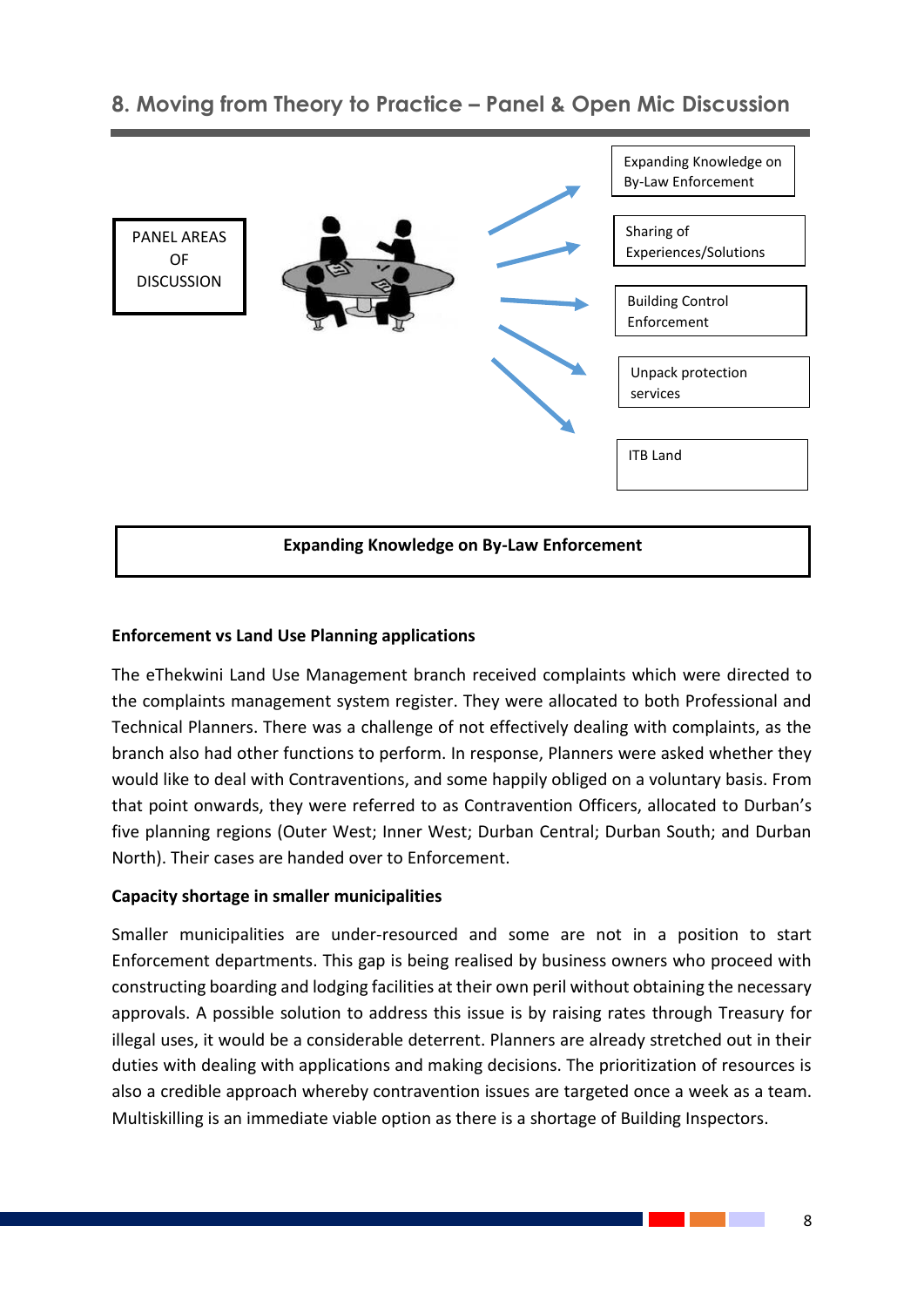

## **8. Moving from Theory to Practice – Panel & Open Mic Discussion**

## **Expanding Knowledge on By-Law Enforcement**

## **Enforcement vs Land Use Planning applications**

The eThekwini Land Use Management branch received complaints which were directed to the complaints management system register. They were allocated to both Professional and Technical Planners. There was a challenge of not effectively dealing with complaints, as the branch also had other functions to perform. In response, Planners were asked whether they would like to deal with Contraventions, and some happily obliged on a voluntary basis. From that point onwards, they were referred to as Contravention Officers, allocated to Durban's five planning regions (Outer West; Inner West; Durban Central; Durban South; and Durban North). Their cases are handed over to Enforcement.

## **Capacity shortage in smaller municipalities**

Smaller municipalities are under-resourced and some are not in a position to start Enforcement departments. This gap is being realised by business owners who proceed with constructing boarding and lodging facilities at their own peril without obtaining the necessary approvals. A possible solution to address this issue is by raising rates through Treasury for illegal uses, it would be a considerable deterrent. Planners are already stretched out in their duties with dealing with applications and making decisions. The prioritization of resources is also a credible approach whereby contravention issues are targeted once a week as a team. Multiskilling is an immediate viable option as there is a shortage of Building Inspectors.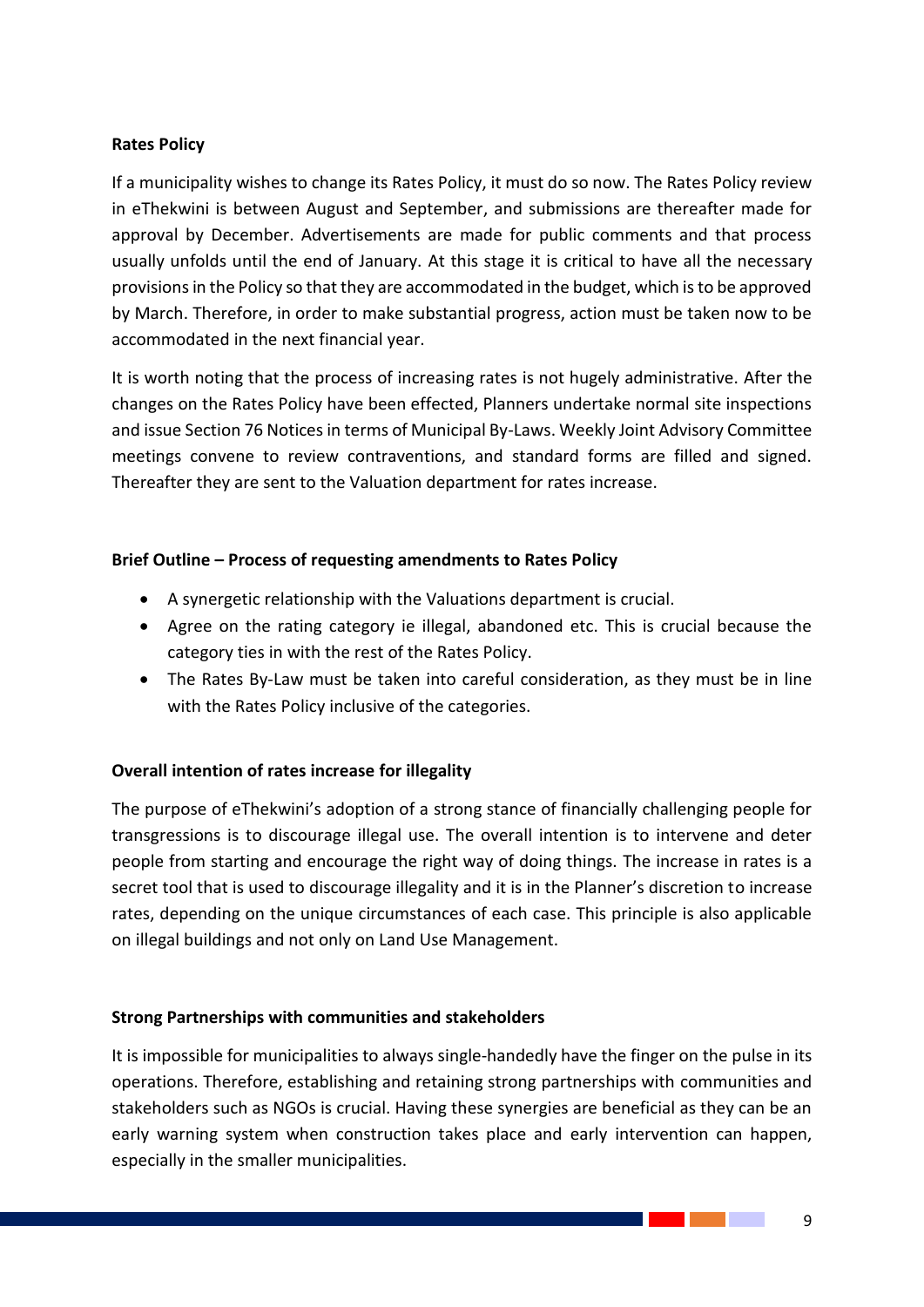## **Rates Policy**

If a municipality wishes to change its Rates Policy, it must do so now. The Rates Policy review in eThekwini is between August and September, and submissions are thereafter made for approval by December. Advertisements are made for public comments and that process usually unfolds until the end of January. At this stage it is critical to have all the necessary provisions in the Policy so that they are accommodated in the budget, which is to be approved by March. Therefore, in order to make substantial progress, action must be taken now to be accommodated in the next financial year.

It is worth noting that the process of increasing rates is not hugely administrative. After the changes on the Rates Policy have been effected, Planners undertake normal site inspections and issue Section 76 Notices in terms of Municipal By-Laws. Weekly Joint Advisory Committee meetings convene to review contraventions, and standard forms are filled and signed. Thereafter they are sent to the Valuation department for rates increase.

## **Brief Outline – Process of requesting amendments to Rates Policy**

- A synergetic relationship with the Valuations department is crucial.
- Agree on the rating category ie illegal, abandoned etc. This is crucial because the category ties in with the rest of the Rates Policy.
- The Rates By-Law must be taken into careful consideration, as they must be in line with the Rates Policy inclusive of the categories.

## **Overall intention of rates increase for illegality**

The purpose of eThekwini's adoption of a strong stance of financially challenging people for transgressions is to discourage illegal use. The overall intention is to intervene and deter people from starting and encourage the right way of doing things. The increase in rates is a secret tool that is used to discourage illegality and it is in the Planner's discretion to increase rates, depending on the unique circumstances of each case. This principle is also applicable on illegal buildings and not only on Land Use Management.

## **Strong Partnerships with communities and stakeholders**

It is impossible for municipalities to always single-handedly have the finger on the pulse in its operations. Therefore, establishing and retaining strong partnerships with communities and stakeholders such as NGOs is crucial. Having these synergies are beneficial as they can be an early warning system when construction takes place and early intervention can happen, especially in the smaller municipalities.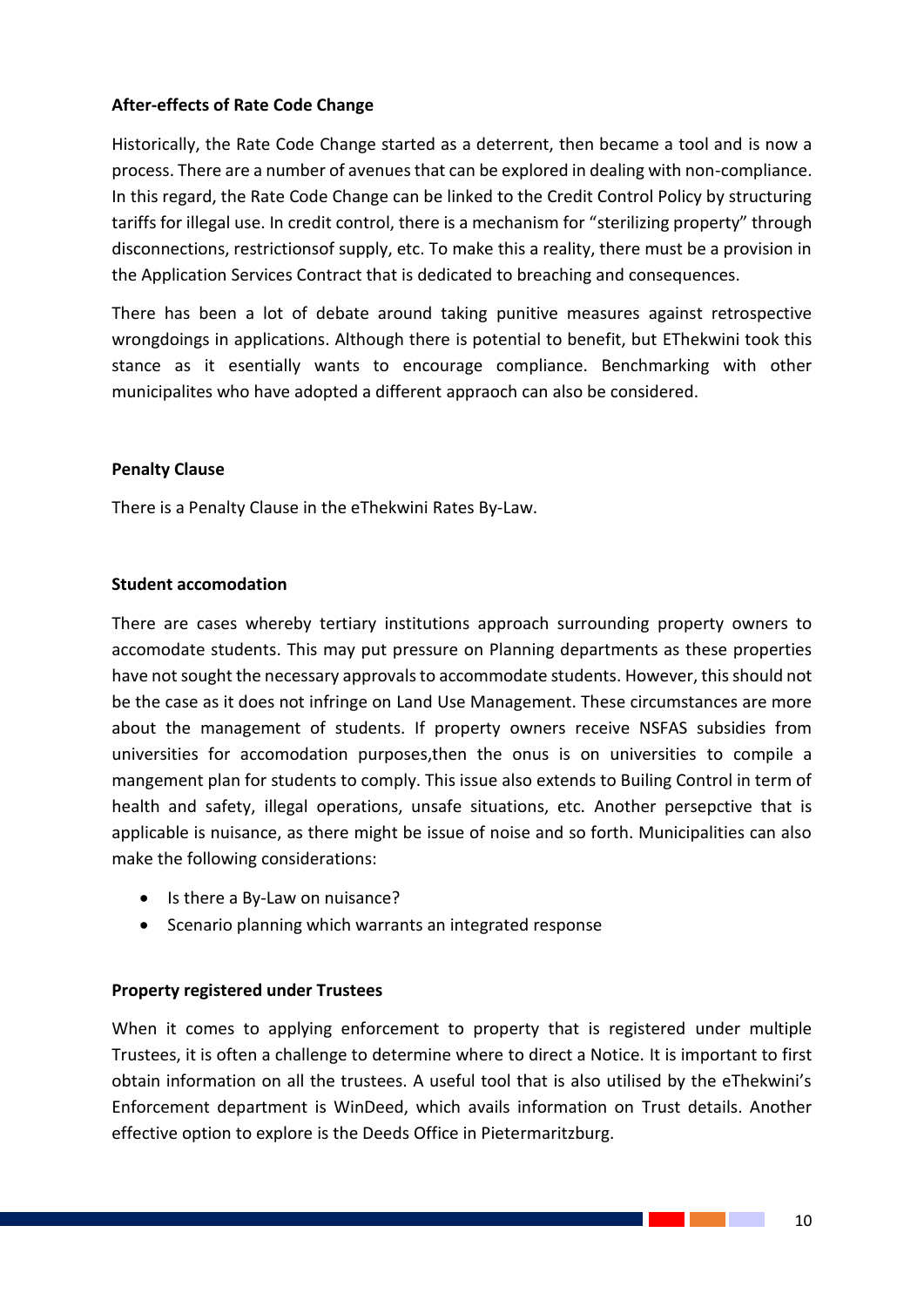## **After-effects of Rate Code Change**

Historically, the Rate Code Change started as a deterrent, then became a tool and is now a process. There are a number of avenues that can be explored in dealing with non-compliance. In this regard, the Rate Code Change can be linked to the Credit Control Policy by structuring tariffs for illegal use. In credit control, there is a mechanism for "sterilizing property" through disconnections, restrictionsof supply, etc. To make this a reality, there must be a provision in the Application Services Contract that is dedicated to breaching and consequences.

There has been a lot of debate around taking punitive measures against retrospective wrongdoings in applications. Although there is potential to benefit, but EThekwini took this stance as it esentially wants to encourage compliance. Benchmarking with other municipalites who have adopted a different appraoch can also be considered.

## **Penalty Clause**

There is a Penalty Clause in the eThekwini Rates By-Law.

## **Student accomodation**

There are cases whereby tertiary institutions approach surrounding property owners to accomodate students. This may put pressure on Planning departments as these properties have not sought the necessary approvals to accommodate students. However, this should not be the case as it does not infringe on Land Use Management. These circumstances are more about the management of students. If property owners receive NSFAS subsidies from universities for accomodation purposes,then the onus is on universities to compile a mangement plan for students to comply. This issue also extends to Builing Control in term of health and safety, illegal operations, unsafe situations, etc. Another persepctive that is applicable is nuisance, as there might be issue of noise and so forth. Municipalities can also make the following considerations:

- Is there a By-Law on nuisance?
- Scenario planning which warrants an integrated response

## **Property registered under Trustees**

When it comes to applying enforcement to property that is registered under multiple Trustees, it is often a challenge to determine where to direct a Notice. It is important to first obtain information on all the trustees. A useful tool that is also utilised by the eThekwini's Enforcement department is WinDeed, which avails information on Trust details. Another effective option to explore is the Deeds Office in Pietermaritzburg.